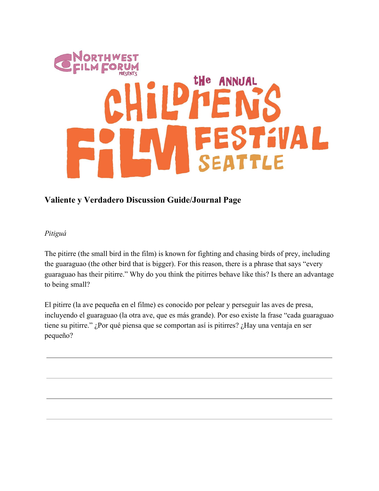# **tHe ANNUAL EVAL** TTLE

# **Valiente y Verdadero Discussion Guide/Journal Page**

### *Pitiguá*

The pitirre (the small bird in the film) is known for fighting and chasing birds of prey, including the guaraguao (the other bird that is bigger). For this reason, there is a phrase that says "every guaraguao has their pitirre." Why do you think the pitirres behave like this? Is there an advantage to being small?

El pitirre (la ave pequeña en el filme) es conocido por pelear y perseguir las aves de presa, incluyendo el guaraguao (la otra ave, que es más grande). Por eso existe la frase "cada guaraguao tiene su pitirre." ¿Por qué piensa que se comportan así is pitirres? ¿Hay una ventaja en ser pequeño?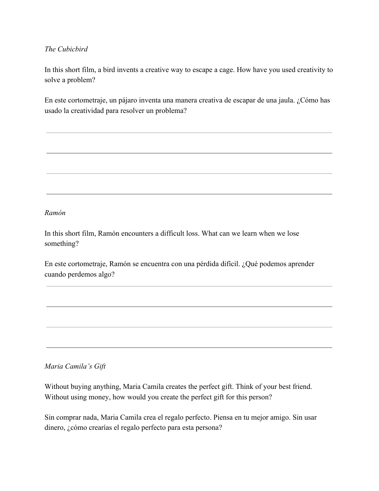## *The Cubicbird*

In this short film, a bird invents a creative way to escape a cage. How have you used creativity to solve a problem?

En este cortometraje, un pájaro inventa una manera creativa de escapar de una jaula. ¿Cómo has usado la creatividad para resolver un problema?

### *Ramón*

In this short film, Ramón encounters a difficult loss. What can we learn when we lose something?

En este cortometraje, Ramón se encuentra con una pérdida difícil. ¿Qué podemos aprender cuando perdemos algo?

*Maria Camila's Gift*

Without buying anything, Maria Camila creates the perfect gift. Think of your best friend. Without using money, how would you create the perfect gift for this person?

Sin comprar nada, Maria Camila crea el regalo perfecto. Piensa en tu mejor amigo. Sin usar dinero, ¿cómo crearías el regalo perfecto para esta persona?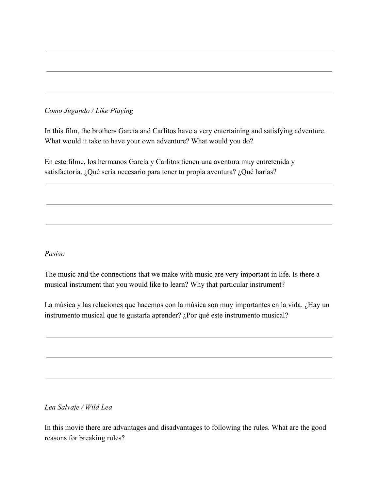# *Como Jugando / Like Playing*

In this film, the brothers García and Carlitos have a very entertaining and satisfying adventure. What would it take to have your own adventure? What would you do?

En este filme, los hermanos García y Carlitos tienen una aventura muy entretenida y satisfactoria. ¿Qué sería necesario para tener tu propia aventura? ¿Qué harías?

#### *Pasivo*

The music and the connections that we make with music are very important in life. Is there a musical instrument that you would like to learn? Why that particular instrument?

La música y las relaciones que hacemos con la música son muy importantes en la vida. ¿Hay un instrumento musical que te gustaría aprender? ¿Por qué este instrumento musical?

*Lea Salvaje / Wild Lea*

In this movie there are advantages and disadvantages to following the rules. What are the good reasons for breaking rules?